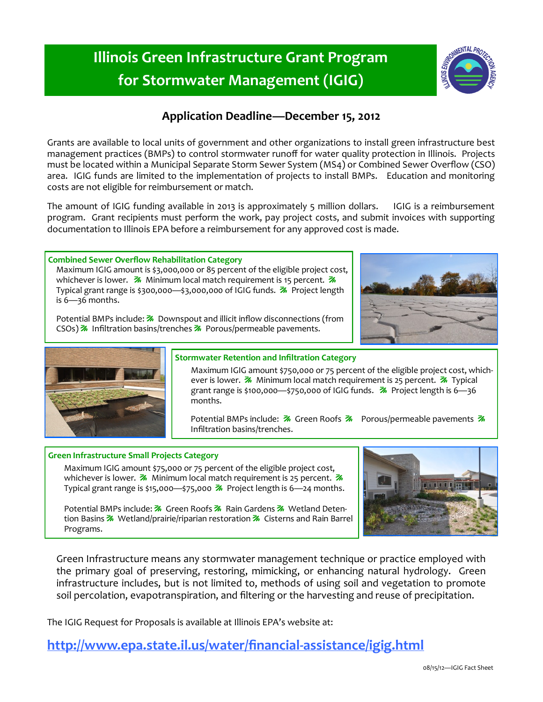## **Illinois Green Infrastructure Grant Program for Stormwater Management (IGIG)**

### **Application Deadline—December 15, 2012**

Grants are available to local units of government and other organizations to install green infrastructure best management practices (BMPs) to control stormwater runoff for water quality protection in Illinois. Projects must be located within a Municipal Separate Storm Sewer System (MS4) or Combined Sewer Overflow (CSO) area. IGIG funds are limited to the implementation of projects to install BMPs. Education and monitoring costs are not eligible for reimbursement or match.

The amount of IGIG funding available in 2013 is approximately 5 million dollars. IGIG is a reimbursement program. Grant recipients must perform the work, pay project costs, and submit invoices with supporting documentation to Illinois EPA before a reimbursement for any approved cost is made.

#### **Combined Sewer Overflow Rehabilitation Category**

Maximum IGIG amount is \$3,000,000 or 85 percent of the eligible project cost, whichever is lower.  $\mathcal{Z}_n$  Minimum local match requirement is 15 percent.  $\mathcal{Z}_n$ Typical grant range is \$300,000—\$3,000,000 of IGIG funds.  $\frac{1}{2}$  Project length is 6—36 months.

Potential BMPs include: **X** Downspout and illicit inflow disconnections (from CSOs)  $\frac{2}{\sqrt{2}}$  Infiltration basins/trenches  $\frac{2}{\sqrt{2}}$  Porous/permeable pavements.





#### **Stormwater Retention and Infiltration Category**

Maximum IGIG amount \$750,000 or 75 percent of the eligible project cost, whichever is lower.  $\frac{1}{2}$  Minimum local match requirement is 25 percent.  $\frac{1}{2}$  Typical grant range is \$100,000—\$750,000 of IGIG funds.  $\frac{1}{2}$  Project length is 6—36 months.

Potential BMPs include: **7** Green Roofs 7 Porous/permeable pavements 7 Infiltration basins/trenches.

#### **Green Infrastructure Small Projects Category**

Maximum IGIG amount \$75,000 or 75 percent of the eligible project cost, whichever is lower.  $\mathcal{Z}_n$  Minimum local match requirement is 25 percent.  $\mathcal{Z}_n$ Typical grant range is \$15,000—\$75,000  $\frac{1}{10}$  Project length is 6—24 months.

Potential BMPs include: **M** Green Roofs **M** Rain Gardens **M** Wetland Detention Basins  $\mathcal{F}$  Wetland/prairie/riparian restoration  $\mathcal{F}$  Cisterns and Rain Barrel Programs.

Green Infrastructure means any stormwater management technique or practice employed with the primary goal of preserving, restoring, mimicking, or enhancing natural hydrology. Green infrastructure includes, but is not limited to, methods of using soil and vegetation to promote soil percolation, evapotranspiration, and filtering or the harvesting and reuse of precipitation.

The IGIG Request for Proposals is available at Illinois EPA's website at:

**[http://www.epa.state.il.us/water/financial](http://www.epa.state.il.us/water/financial-assistance/igig.html)-assistance/igig.html**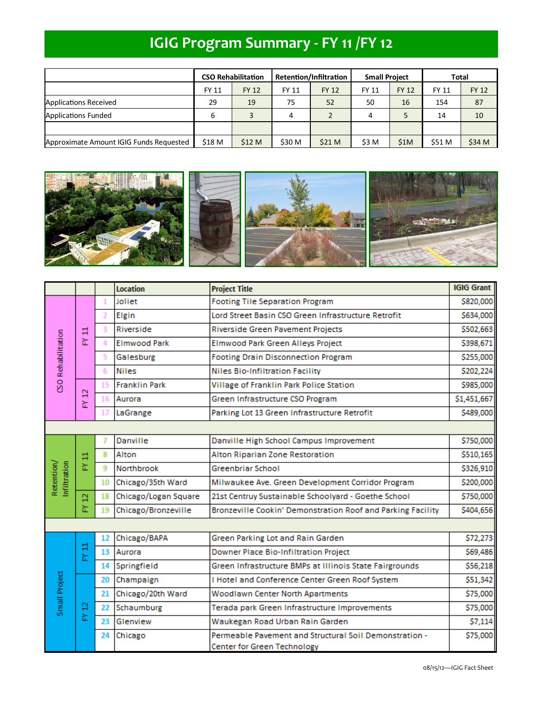# **IGIG Program Summary - FY 11 /FY 12**

|                                         | <b>CSO Rehabilitation</b> |              | <b>Retention/Infiltration</b> |              | <b>Small Project</b> |              | Total  |              |
|-----------------------------------------|---------------------------|--------------|-------------------------------|--------------|----------------------|--------------|--------|--------------|
|                                         | FY 11                     | <b>FY 12</b> | <b>FY 11</b>                  | <b>FY 12</b> | FY 11                | <b>FY 12</b> | FY 11  | <b>FY 12</b> |
| Applications Received                   | 29                        | 19           | 75                            | 52           | 50                   | 16           | 154    | 87           |
| <b>Applications Funded</b>              | 6                         | 3            | 4                             |              | 4                    |              | 14     | 10           |
|                                         |                           |              |                               |              |                      |              |        |              |
| Approximate Amount IGIG Funds Requested | \$18 M                    | \$12 M       | \$30 M                        | \$21 M       | \$3 M                | \$1M         | \$51 M | \$34 M       |



|                            |        |                | <b>Location</b>                                              | <b>Project Title</b>                                                                  | <b>IGIG Grant</b> |
|----------------------------|--------|----------------|--------------------------------------------------------------|---------------------------------------------------------------------------------------|-------------------|
| <b>CSO Rehabilitation</b>  | 븝<br>동 | 1              | <b>Footing Tile Separation Program</b><br>Joliet             |                                                                                       | \$820,000         |
|                            |        | $\overline{2}$ | Lord Street Basin CSO Green Infrastructure Retrofit<br>Elgin |                                                                                       | \$634,000         |
|                            |        | 3              | Riverside                                                    | Riverside Green Pavement Projects                                                     | \$502,663         |
|                            |        | 4              | <b>Elmwood Park</b>                                          | Elmwood Park Green Alleys Project                                                     | \$398,671         |
|                            |        | 5              | <b>Footing Drain Disconnection Program</b><br>Galesburg      |                                                                                       | \$255,000         |
|                            |        | 6              | <b>Niles</b>                                                 | <b>Niles Bio-Infiltration Facility</b>                                                | \$202,224         |
|                            | ą<br>뇞 | 15             | <b>Franklin Park</b>                                         | Village of Franklin Park Police Station                                               |                   |
|                            |        | 16             | Green Infrastructure CSO Program<br>Aurora                   |                                                                                       | \$1,451,667       |
|                            |        |                | Parking Lot 13 Green Infrastructure Retrofit<br>LaGrange     |                                                                                       | \$489,000         |
|                            |        |                |                                                              |                                                                                       |                   |
| Retention/<br>Infiltration | 븝<br>뇞 |                | Danville                                                     | Danville High School Campus Improvement                                               |                   |
|                            |        | 8              | Alton                                                        | Alton Riparian Zone Restoration                                                       | \$510,165         |
|                            |        | 9              | Northbrook                                                   | Greenbriar School                                                                     | \$326,910         |
|                            |        | 10             | Chicago/35th Ward                                            | Milwaukee Ave. Green Development Corridor Program                                     |                   |
|                            | ă      | 18             | Chicago/Logan Square                                         | 21st Centruy Sustainable Schoolyard - Goethe School                                   | \$750,000         |
|                            | 놊      | 19             | Chicago/Bronzeville                                          | Bronzeville Cookin' Demonstration Roof and Parking Facility                           | \$404,656         |
|                            |        |                |                                                              |                                                                                       |                   |
| Small Project              | FY 11  | 12             | Chicago/BAPA                                                 | Green Parking Lot and Rain Garden                                                     | \$72,273          |
|                            |        | 13             | Aurora                                                       | Downer Place Bio-Infiltration Project                                                 | \$69,486          |
|                            |        | 14             | Springfield                                                  | Green Infrastructure BMPs at Illinois State Fairgrounds                               | \$56,218          |
|                            | a<br>는 | 20             | Champaign                                                    | I Hotel and Conference Center Green Roof System                                       | \$51,342          |
|                            |        | 21             | Chicago/20th Ward                                            | Woodlawn Center North Apartments                                                      | \$75,000          |
|                            |        | 22             | Schaumburg                                                   | Terada park Green Infrastructure Improvements                                         | \$75,000          |
|                            |        | 23             | Glenview                                                     | Waukegan Road Urban Rain Garden                                                       | \$7,114           |
|                            |        | 24             | Chicago                                                      | Permeable Pavement and Structural Soil Demonstration -<br>Center for Green Technology | \$75,000          |